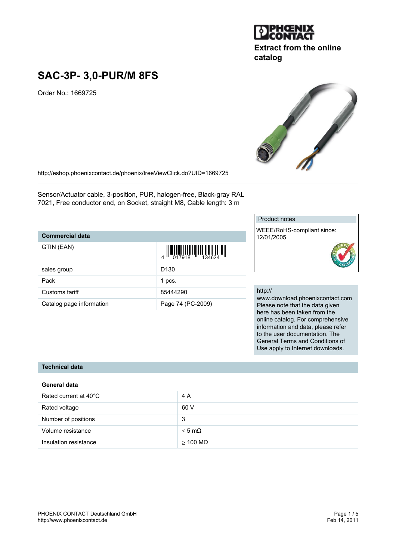

## **Extract from the online catalog**

# **SAC-3P- 3,0-PUR/M 8FS**

Order No.: 1669725

<http://eshop.phoenixcontact.de/phoenix/treeViewClick.do?UID=1669725>

Sensor/Actuator cable, 3-position, PUR, halogen-free, Black-gray RAL 7021, Free conductor end, on Socket, straight M8, Cable length: 3 m

### **Commercial data**

| GTIN (EAN)               |                   |
|--------------------------|-------------------|
| sales group              | D <sub>130</sub>  |
| Pack                     | 1 pcs.            |
| Customs tariff           | 85444290          |
| Catalog page information | Page 74 (PC-2009) |

#### Product notes

WEEE/RoHS-compliant since: 12/01/2005

#### http://

www.download.phoenixcontact.com Please note that the data given here has been taken from the online catalog. For comprehensive information and data, please refer to the user documentation. The General Terms and Conditions of Use apply to Internet downloads.

### **Technical data**

# **General data** Rated current at 40°C 4 A Rated voltage 60 V Number of positions 3 Volume resistance  $\leq 5 \text{ m}\Omega$ Insulation resistance  $\vert \geq 100 \text{ M}\Omega$

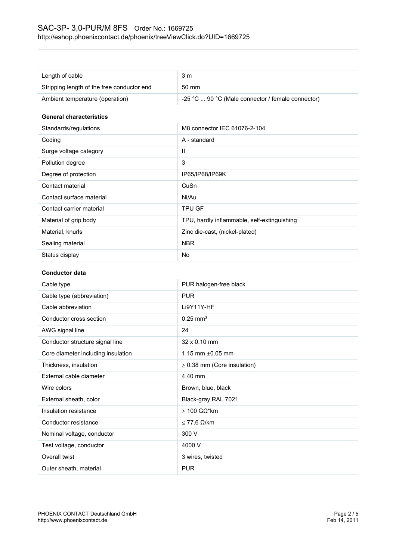## SAC-3P- 3,0-PUR/M 8FS Order No.: 1669725 <http://eshop.phoenixcontact.de/phoenix/treeViewClick.do?UID=1669725>

| Length of cable                            | 3 m                                                 |
|--------------------------------------------|-----------------------------------------------------|
| Stripping length of the free conductor end | $50 \text{ mm}$                                     |
| Ambient temperature (operation)            | $-25$ °C  90 °C (Male connector / female connector) |

### **General characteristics**

| Standards/regulations    | M8 connector IEC 61076-2-104                |
|--------------------------|---------------------------------------------|
| Coding                   | A - standard                                |
| Surge voltage category   | Ш                                           |
| Pollution degree         | 3                                           |
| Degree of protection     | IP65/IP68/IP69K                             |
| Contact material         | CuSn                                        |
| Contact surface material | Ni/Au                                       |
| Contact carrier material | <b>TPU GF</b>                               |
| Material of grip body    | TPU, hardly inflammable, self-extinguishing |
| Material, knurls         | Zinc die-cast, (nickel-plated)              |
| Sealing material         | <b>NBR</b>                                  |
| Status display           | No                                          |

### **Conductor data**

| Cable type                         | PUR halogen-free black           |
|------------------------------------|----------------------------------|
| Cable type (abbreviation)          | <b>PUR</b>                       |
| Cable abbreviation                 | Li9Y11Y-HF                       |
| Conductor cross section            | $0.25$ mm <sup>2</sup>           |
| AWG signal line                    | 24                               |
| Conductor structure signal line    | $32 \times 0.10$ mm              |
| Core diameter including insulation | 1.15 mm $\pm 0.05$ mm            |
| Thickness, insulation              | $\geq$ 0.38 mm (Core insulation) |
| External cable diameter            | 4.40 mm                          |
| Wire colors                        | Brown, blue, black               |
| External sheath, color             | Black-gray RAL 7021              |
| Insulation resistance              | $>$ 100 GΩ*km                    |
| Conductor resistance               | $<$ 77.6 $\Omega$ /km            |
| Nominal voltage, conductor         | 300 V                            |
| Test voltage, conductor            | 4000 V                           |
| Overall twist                      | 3 wires, twisted                 |
| Outer sheath, material             | <b>PUR</b>                       |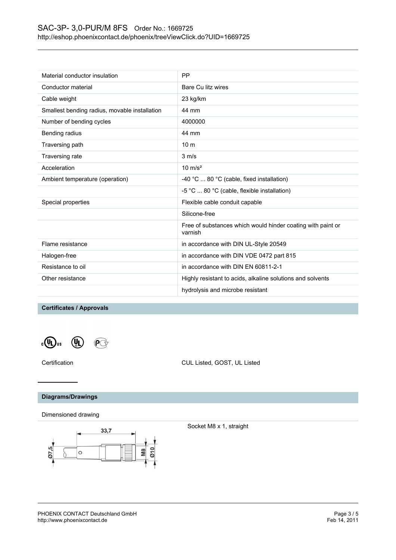| Material conductor insulation                 | <b>PP</b>                                                              |
|-----------------------------------------------|------------------------------------------------------------------------|
| Conductor material                            | Bare Cu litz wires                                                     |
| Cable weight                                  | 23 kg/km                                                               |
| Smallest bending radius, movable installation | 44 mm                                                                  |
| Number of bending cycles                      | 4000000                                                                |
| Bending radius                                | 44 mm                                                                  |
| Traversing path                               | 10 <sub>m</sub>                                                        |
| Traversing rate                               | $3 \text{ m/s}$                                                        |
| Acceleration                                  | $10 \text{ m/s}^2$                                                     |
| Ambient temperature (operation)               | -40 °C  80 °C (cable, fixed installation)                              |
|                                               | -5 °C  80 °C (cable, flexible installation)                            |
| Special properties                            | Flexible cable conduit capable                                         |
|                                               | Silicone-free                                                          |
|                                               | Free of substances which would hinder coating with paint or<br>varnish |
| Flame resistance                              | in accordance with DIN UL-Style 20549                                  |
| Halogen-free                                  | in accordance with DIN VDE 0472 part 815                               |
| Resistance to oil                             | in accordance with DIN EN 60811-2-1                                    |
| Other resistance                              | Highly resistant to acids, alkaline solutions and solvents             |
|                                               | hydrolysis and microbe resistant                                       |

### **Certificates / Approvals**



Certification CUL Listed, GOST, UL Listed

### **Diagrams/Drawings**

### Dimensioned drawing



Socket M8 x 1, straight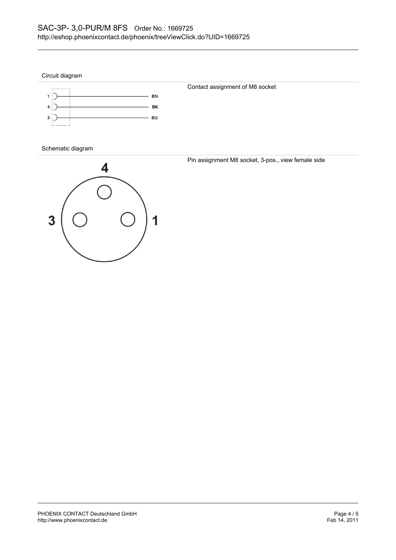Circuit diagram



Contact assignment of M8 socket

Schematic diagram



Pin assignment M8 socket, 3-pos., view female side